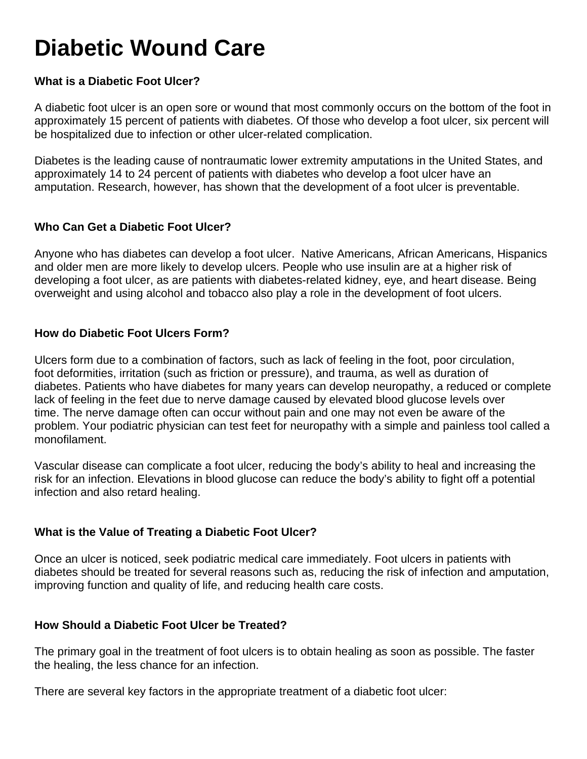# **Diabetic Wound Care**

# **What is a Diabetic Foot Ulcer?**

A diabetic foot ulcer is an open sore or wound that most commonly occurs on the bottom of the foot in approximately 15 percent of patients with diabetes. Of those who develop a foot ulcer, six percent will be hospitalized due to infection or other ulcer-related complication.

Diabetes is the leading cause of nontraumatic lower extremity amputations in the United States, and approximately 14 to 24 percent of patients with diabetes who develop a foot ulcer have an amputation. Research, however, has shown that the development of a foot ulcer is preventable.

## **Who Can Get a Diabetic Foot Ulcer?**

Anyone who has diabetes can develop a foot ulcer. Native Americans, African Americans, Hispanics and older men are more likely to develop ulcers. People who use insulin are at a higher risk of developing a foot ulcer, as are patients with diabetes-related kidney, eye, and heart disease. Being overweight and using alcohol and tobacco also play a role in the development of foot ulcers.

## **How do Diabetic Foot Ulcers Form?**

Ulcers form due to a combination of factors, such as lack of feeling in the foot, poor circulation, foot deformities, irritation (such as friction or pressure), and trauma, as well as duration of diabetes. Patients who have diabetes for many years can develop neuropathy, a reduced or complete lack of feeling in the feet due to nerve damage caused by elevated blood glucose levels over time. The nerve damage often can occur without pain and one may not even be aware of the problem. Your podiatric physician can test feet for neuropathy with a simple and painless tool called a monofilament.

Vascular disease can complicate a foot ulcer, reducing the body's ability to heal and increasing the risk for an infection. Elevations in blood glucose can reduce the body's ability to fight off a potential infection and also retard healing.

# **What is the Value of Treating a Diabetic Foot Ulcer?**

Once an ulcer is noticed, seek podiatric medical care immediately. Foot ulcers in patients with diabetes should be treated for several reasons such as, reducing the risk of infection and amputation, improving function and quality of life, and reducing health care costs.

#### **How Should a Diabetic Foot Ulcer be Treated?**

The primary goal in the treatment of foot ulcers is to obtain healing as soon as possible. The faster the healing, the less chance for an infection.

There are several key factors in the appropriate treatment of a diabetic foot ulcer: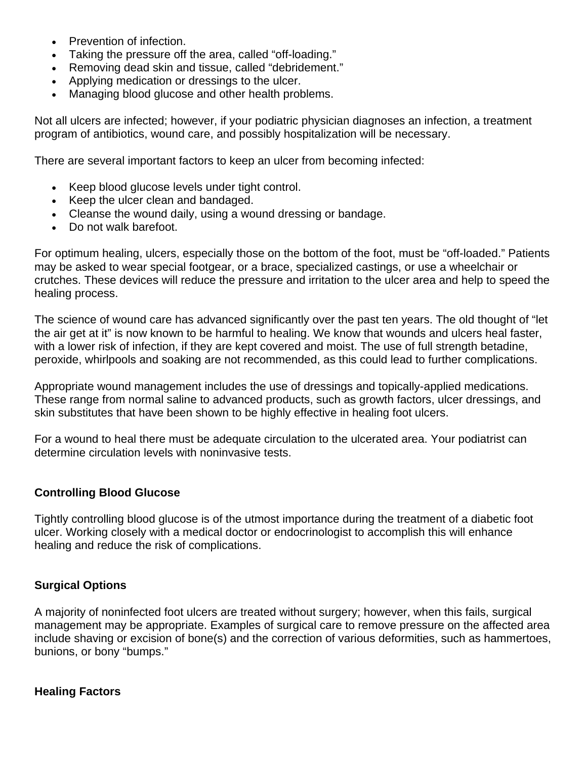- Prevention of infection.
- Taking the pressure off the area, called "off-loading."
- Removing dead skin and tissue, called "debridement."
- Applying medication or dressings to the ulcer.
- Managing blood glucose and other health problems.

Not all ulcers are infected; however, if your podiatric physician diagnoses an infection, a treatment program of antibiotics, wound care, and possibly hospitalization will be necessary.

There are several important factors to keep an ulcer from becoming infected:

- Keep blood glucose levels under tight control.
- Keep the ulcer clean and bandaged.
- Cleanse the wound daily, using a wound dressing or bandage.
- Do not walk barefoot.

For optimum healing, ulcers, especially those on the bottom of the foot, must be "off-loaded." Patients may be asked to wear special footgear, or a brace, specialized castings, or use a wheelchair or crutches. These devices will reduce the pressure and irritation to the ulcer area and help to speed the healing process.

The science of wound care has advanced significantly over the past ten years. The old thought of "let the air get at it" is now known to be harmful to healing. We know that wounds and ulcers heal faster, with a lower risk of infection, if they are kept covered and moist. The use of full strength betadine, peroxide, whirlpools and soaking are not recommended, as this could lead to further complications.

Appropriate wound management includes the use of dressings and topically-applied medications. These range from normal saline to advanced products, such as growth factors, ulcer dressings, and skin substitutes that have been shown to be highly effective in healing foot ulcers.

For a wound to heal there must be adequate circulation to the ulcerated area. Your podiatrist can determine circulation levels with noninvasive tests.

#### **Controlling Blood Glucose**

Tightly controlling blood glucose is of the utmost importance during the treatment of a diabetic foot ulcer. Working closely with a medical doctor or endocrinologist to accomplish this will enhance healing and reduce the risk of complications.

# **Surgical Options**

A majority of noninfected foot ulcers are treated without surgery; however, when this fails, surgical management may be appropriate. Examples of surgical care to remove pressure on the affected area include shaving or excision of bone(s) and the correction of various deformities, such as hammertoes, bunions, or bony "bumps."

#### **Healing Factors**